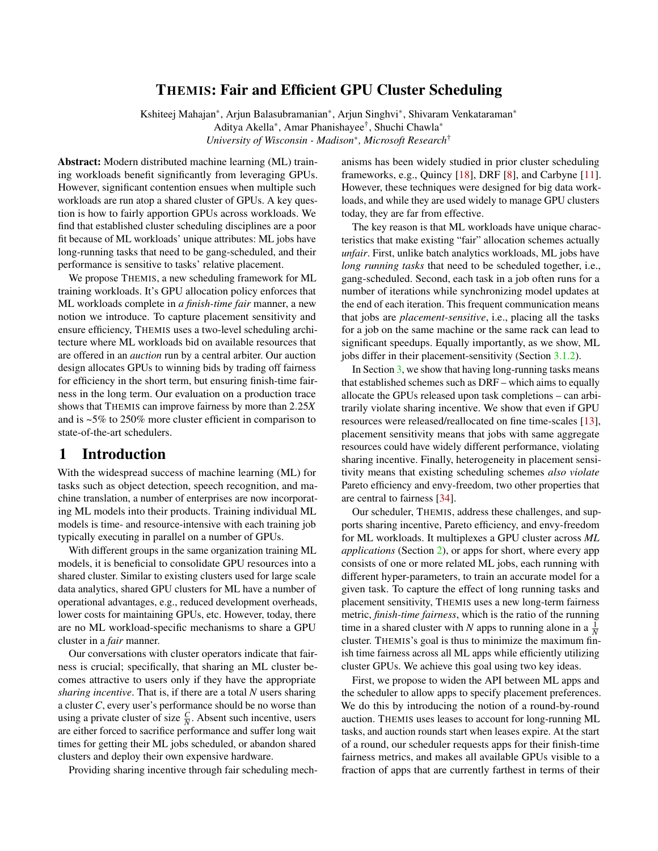# THEMIS: Fair and Efficient GPU Cluster Scheduling

Kshiteej Mahajan<sup>\*</sup>, Arjun Balasubramanian<sup>\*</sup>, Arjun Singhvi<sup>\*</sup>, Shivaram Venkataraman<sup>\*</sup> Aditya Akella<sup>\*</sup>, Amar Phanishayee<sup>†</sup>, Shuchi Chawla<sup>\*</sup> *University of Wisconsin - Madison*⇤*, Microsoft Research*†

Abstract: Modern distributed machine learning (ML) training workloads benefit significantly from leveraging GPUs. However, significant contention ensues when multiple such workloads are run atop a shared cluster of GPUs. A key question is how to fairly apportion GPUs across workloads. We find that established cluster scheduling disciplines are a poor fit because of ML workloads' unique attributes: ML jobs have long-running tasks that need to be gang-scheduled, and their performance is sensitive to tasks' relative placement.

We propose THEMIS, a new scheduling framework for ML training workloads. It's GPU allocation policy enforces that ML workloads complete in *a finish-time fair* manner, a new notion we introduce. To capture placement sensitivity and ensure efficiency, THEMIS uses a two-level scheduling architecture where ML workloads bid on available resources that are offered in an *auction* run by a central arbiter. Our auction design allocates GPUs to winning bids by trading off fairness for efficiency in the short term, but ensuring finish-time fairness in the long term. Our evaluation on a production trace shows that THEMIS can improve fairness by more than 2*.*25*X* and is ~5% to 250% more cluster efficient in comparison to state-of-the-art schedulers.

# 1 Introduction

With the widespread success of machine learning (ML) for tasks such as object detection, speech recognition, and machine translation, a number of enterprises are now incorporating ML models into their products. Training individual ML models is time- and resource-intensive with each training job typically executing in parallel on a number of GPUs.

With different groups in the same organization training ML models, it is beneficial to consolidate GPU resources into a shared cluster. Similar to existing clusters used for large scale data analytics, shared GPU clusters for ML have a number of operational advantages, e.g., reduced development overheads, lower costs for maintaining GPUs, etc. However, today, there are no ML workload-specific mechanisms to share a GPU cluster in a *fair* manner.

Our conversations with cluster operators indicate that fairness is crucial; specifically, that sharing an ML cluster becomes attractive to users only if they have the appropriate *sharing incentive*. That is, if there are a total *N* users sharing a cluster *C*, every user's performance should be no worse than using a private cluster of size  $\frac{C}{N}$ . Absent such incentive, users are either forced to sacrifice performance and suffer long wait times for getting their ML jobs scheduled, or abandon shared clusters and deploy their own expensive hardware.

Providing sharing incentive through fair scheduling mech-

anisms has been widely studied in prior cluster scheduling frameworks, e.g., Quincy [18], DRF [8], and Carbyne [11]. However, these techniques were designed for big data workloads, and while they are used widely to manage GPU clusters today, they are far from effective.

The key reason is that ML workloads have unique characteristics that make existing "fair" allocation schemes actually *unfair*. First, unlike batch analytics workloads, ML jobs have *long running tasks* that need to be scheduled together, i.e., gang-scheduled. Second, each task in a job often runs for a number of iterations while synchronizing model updates at the end of each iteration. This frequent communication means that jobs are *placement-sensitive*, i.e., placing all the tasks for a job on the same machine or the same rack can lead to significant speedups. Equally importantly, as we show, ML jobs differ in their placement-sensitivity (Section 3.1.2).

In Section  $\frac{3}{2}$ , we show that having long-running tasks means that established schemes such as DRF – which aims to equally allocate the GPUs released upon task completions – can arbitrarily violate sharing incentive. We show that even if GPU resources were released/reallocated on fine time-scales [13], placement sensitivity means that jobs with same aggregate resources could have widely different performance, violating sharing incentive. Finally, heterogeneity in placement sensitivity means that existing scheduling schemes *also violate* Pareto efficiency and envy-freedom, two other properties that are central to fairness [34].

Our scheduler, THEMIS, address these challenges, and supports sharing incentive, Pareto efficiency, and envy-freedom for ML workloads. It multiplexes a GPU cluster across *ML applications* (Section 2), or apps for short, where every app consists of one or more related ML jobs, each running with different hyper-parameters, to train an accurate model for a given task. To capture the effect of long running tasks and placement sensitivity, THEMIS uses a new long-term fairness metric, *finish-time fairness*, which is the ratio of the running time in a shared cluster with *N* apps to running alone in a  $\frac{1}{N}$ cluster. THEMIS's goal is thus to minimize the maximum finish time fairness across all ML apps while efficiently utilizing cluster GPUs. We achieve this goal using two key ideas.

First, we propose to widen the API between ML apps and the scheduler to allow apps to specify placement preferences. We do this by introducing the notion of a round-by-round auction. THEMIS uses leases to account for long-running ML tasks, and auction rounds start when leases expire. At the start of a round, our scheduler requests apps for their finish-time fairness metrics, and makes all available GPUs visible to a fraction of apps that are currently farthest in terms of their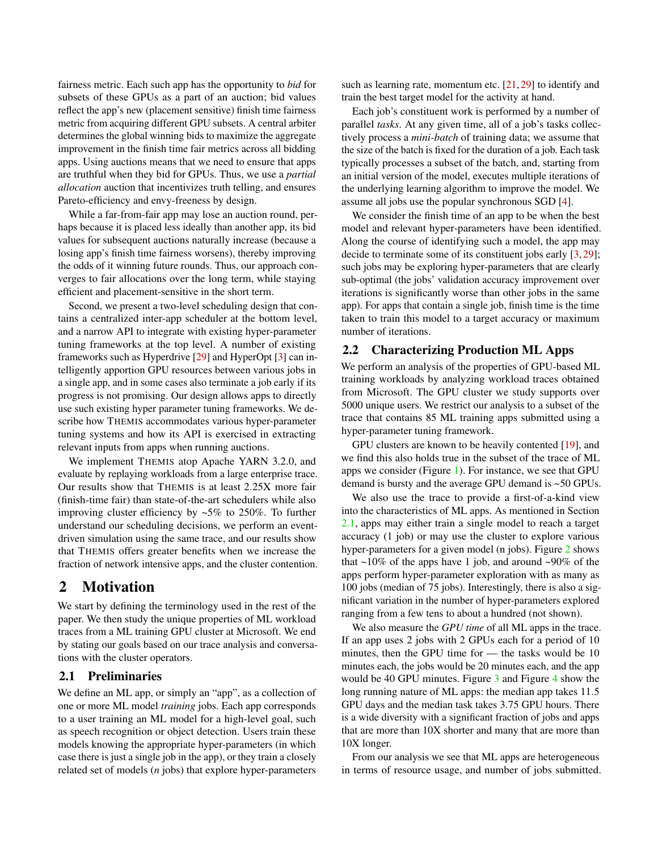fairness metric. Each such app has the opportunity to *bid* for subsets of these GPUs as a part of an auction; bid values reflect the app's new (placement sensitive) finish time fairness metric from acquiring different GPU subsets. A central arbiter determines the global winning bids to maximize the aggregate improvement in the finish time fair metrics across all bidding apps. Using auctions means that we need to ensure that apps are truthful when they bid for GPUs. Thus, we use a *partial allocation* auction that incentivizes truth telling, and ensures Pareto-efficiency and envy-freeness by design.

While a far-from-fair app may lose an auction round, perhaps because it is placed less ideally than another app, its bid values for subsequent auctions naturally increase (because a losing app's finish time fairness worsens), thereby improving the odds of it winning future rounds. Thus, our approach converges to fair allocations over the long term, while staying efficient and placement-sensitive in the short term.

Second, we present a two-level scheduling design that contains a centralized inter-app scheduler at the bottom level, and a narrow API to integrate with existing hyper-parameter tuning frameworks at the top level. A number of existing frameworks such as Hyperdrive [29] and HyperOpt [3] can intelligently apportion GPU resources between various jobs in a single app, and in some cases also terminate a job early if its progress is not promising. Our design allows apps to directly use such existing hyper parameter tuning frameworks. We describe how THEMIS accommodates various hyper-parameter tuning systems and how its API is exercised in extracting relevant inputs from apps when running auctions.

We implement THEMIS atop Apache YARN 3.2.0, and evaluate by replaying workloads from a large enterprise trace. Our results show that THEMIS is at least 2*.*25X more fair (finish-time fair) than state-of-the-art schedulers while also improving cluster efficiency by  $~5\%$  to 250%. To further understand our scheduling decisions, we perform an eventdriven simulation using the same trace, and our results show that THEMIS offers greater benefits when we increase the fraction of network intensive apps, and the cluster contention.

# 2 Motivation

We start by defining the terminology used in the rest of the paper. We then study the unique properties of ML workload traces from a ML training GPU cluster at Microsoft. We end by stating our goals based on our trace analysis and conversations with the cluster operators.

## 2.1 Preliminaries

We define an ML app, or simply an "app", as a collection of one or more ML model *training* jobs. Each app corresponds to a user training an ML model for a high-level goal, such as speech recognition or object detection. Users train these models knowing the appropriate hyper-parameters (in which case there is just a single job in the app), or they train a closely related set of models (*n* jobs) that explore hyper-parameters

such as learning rate, momentum etc. [21, 29] to identify and train the best target model for the activity at hand.

Each job's constituent work is performed by a number of parallel *tasks*. At any given time, all of a job's tasks collectively process a *mini-batch* of training data; we assume that the size of the batch is fixed for the duration of a job. Each task typically processes a subset of the batch, and, starting from an initial version of the model, executes multiple iterations of the underlying learning algorithm to improve the model. We assume all jobs use the popular synchronous SGD [4].

We consider the finish time of an app to be when the best model and relevant hyper-parameters have been identified. Along the course of identifying such a model, the app may decide to terminate some of its constituent jobs early [3, 29]; such jobs may be exploring hyper-parameters that are clearly sub-optimal (the jobs' validation accuracy improvement over iterations is significantly worse than other jobs in the same app). For apps that contain a single job, finish time is the time taken to train this model to a target accuracy or maximum number of iterations.

### 2.2 Characterizing Production ML Apps

We perform an analysis of the properties of GPU-based ML training workloads by analyzing workload traces obtained from Microsoft. The GPU cluster we study supports over 5000 unique users. We restrict our analysis to a subset of the trace that contains 85 ML training apps submitted using a hyper-parameter tuning framework.

GPU clusters are known to be heavily contented [19], and we find this also holds true in the subset of the trace of ML apps we consider (Figure 1). For instance, we see that GPU demand is bursty and the average GPU demand is ~50 GPUs.

We also use the trace to provide a first-of-a-kind view into the characteristics of ML apps. As mentioned in Section 2.1, apps may either train a single model to reach a target accuracy (1 job) or may use the cluster to explore various hyper-parameters for a given model (n jobs). Figure 2 shows that  $\sim$ 10% of the apps have 1 job, and around  $\sim$ 90% of the apps perform hyper-parameter exploration with as many as 100 jobs (median of 75 jobs). Interestingly, there is also a significant variation in the number of hyper-parameters explored ranging from a few tens to about a hundred (not shown).

We also measure the *GPU time* of all ML apps in the trace. If an app uses 2 jobs with 2 GPUs each for a period of 10 minutes, then the GPU time for — the tasks would be 10 minutes each, the jobs would be 20 minutes each, and the app would be 40 GPU minutes. Figure 3 and Figure 4 show the long running nature of ML apps: the median app takes 11*.*5 GPU days and the median task takes 3*.*75 GPU hours. There is a wide diversity with a significant fraction of jobs and apps that are more than 10X shorter and many that are more than 10X longer.

From our analysis we see that ML apps are heterogeneous in terms of resource usage, and number of jobs submitted.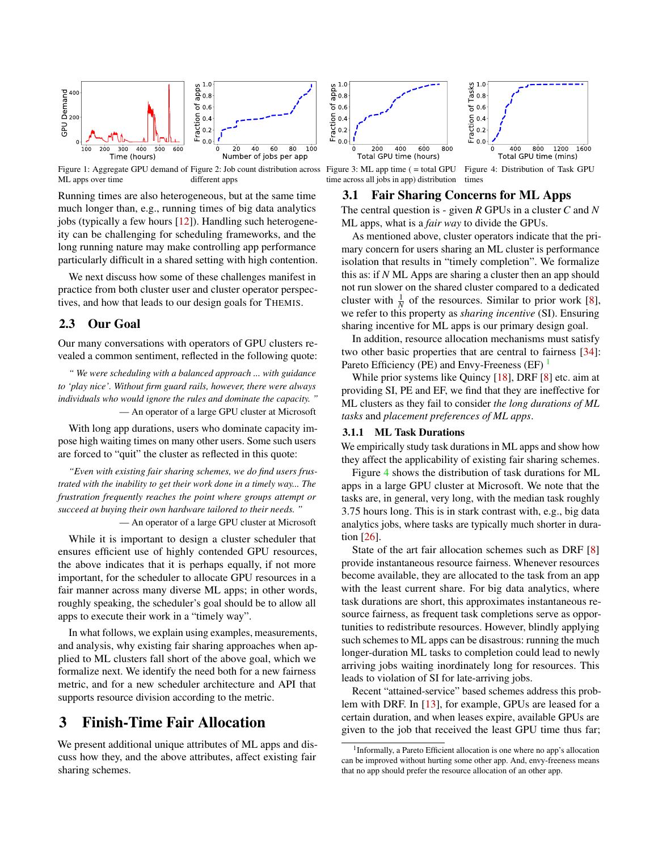

Figure 1: Aggregate GPU demand of Figure 2: Job count distribution across ML apps over time different apps

Running times are also heterogeneous, but at the same time much longer than, e.g., running times of big data analytics jobs (typically a few hours [12]). Handling such heterogeneity can be challenging for scheduling frameworks, and the long running nature may make controlling app performance particularly difficult in a shared setting with high contention.

We next discuss how some of these challenges manifest in practice from both cluster user and cluster operator perspectives, and how that leads to our design goals for THEMIS.

### 2.3 Our Goal

Our many conversations with operators of GPU clusters revealed a common sentiment, reflected in the following quote:

*" We were scheduling with a balanced approach ... with guidance to 'play nice'. Without firm guard rails, however, there were always individuals who would ignore the rules and dominate the capacity. "* — An operator of a large GPU cluster at Microsoft

With long app durations, users who dominate capacity impose high waiting times on many other users. Some such users are forced to "quit" the cluster as reflected in this quote:

*"Even with existing fair sharing schemes, we do find users frustrated with the inability to get their work done in a timely way... The frustration frequently reaches the point where groups attempt or succeed at buying their own hardware tailored to their needs. "*

— An operator of a large GPU cluster at Microsoft

While it is important to design a cluster scheduler that ensures efficient use of highly contended GPU resources, the above indicates that it is perhaps equally, if not more important, for the scheduler to allocate GPU resources in a fair manner across many diverse ML apps; in other words, roughly speaking, the scheduler's goal should be to allow all apps to execute their work in a "timely way".

In what follows, we explain using examples, measurements, and analysis, why existing fair sharing approaches when applied to ML clusters fall short of the above goal, which we formalize next. We identify the need both for a new fairness metric, and for a new scheduler architecture and API that supports resource division according to the metric.

# 3 Finish-Time Fair Allocation

We present additional unique attributes of ML apps and discuss how they, and the above attributes, affect existing fair sharing schemes.



Figure 3: ML app time ( = total GPU time across all jobs in app) distribution

Figure 4: Distribution of Task GPU times

### 3.1 Fair Sharing Concerns for ML Apps

The central question is - given *R* GPUs in a cluster *C* and *N* ML apps, what is a *fair way* to divide the GPUs.

As mentioned above, cluster operators indicate that the primary concern for users sharing an ML cluster is performance isolation that results in "timely completion". We formalize this as: if *N* ML Apps are sharing a cluster then an app should not run slower on the shared cluster compared to a dedicated cluster with  $\frac{1}{N}$  of the resources. Similar to prior work [8], we refer to this property as *sharing incentive* (SI). Ensuring sharing incentive for ML apps is our primary design goal.

In addition, resource allocation mechanisms must satisfy two other basic properties that are central to fairness [34]: Pareto Efficiency (PE) and Envy-Freeness (EF)  $<sup>1</sup>$ </sup>

While prior systems like Quincy [18], DRF [8] etc. aim at providing SI, PE and EF, we find that they are ineffective for ML clusters as they fail to consider *the long durations of ML tasks* and *placement preferences of ML apps*.

### 3.1.1 ML Task Durations

We empirically study task durations in ML apps and show how they affect the applicability of existing fair sharing schemes.

Figure 4 shows the distribution of task durations for ML apps in a large GPU cluster at Microsoft. We note that the tasks are, in general, very long, with the median task roughly 3.75 hours long. This is in stark contrast with, e.g., big data analytics jobs, where tasks are typically much shorter in duration [26].

State of the art fair allocation schemes such as DRF [8] provide instantaneous resource fairness. Whenever resources become available, they are allocated to the task from an app with the least current share. For big data analytics, where task durations are short, this approximates instantaneous resource fairness, as frequent task completions serve as opportunities to redistribute resources. However, blindly applying such schemes to ML apps can be disastrous: running the much longer-duration ML tasks to completion could lead to newly arriving jobs waiting inordinately long for resources. This leads to violation of SI for late-arriving jobs.

Recent "attained-service" based schemes address this problem with DRF. In [13], for example, GPUs are leased for a certain duration, and when leases expire, available GPUs are given to the job that received the least GPU time thus far;

<sup>1</sup>Informally, a Pareto Efficient allocation is one where no app's allocation can be improved without hurting some other app. And, envy-freeness means that no app should prefer the resource allocation of an other app.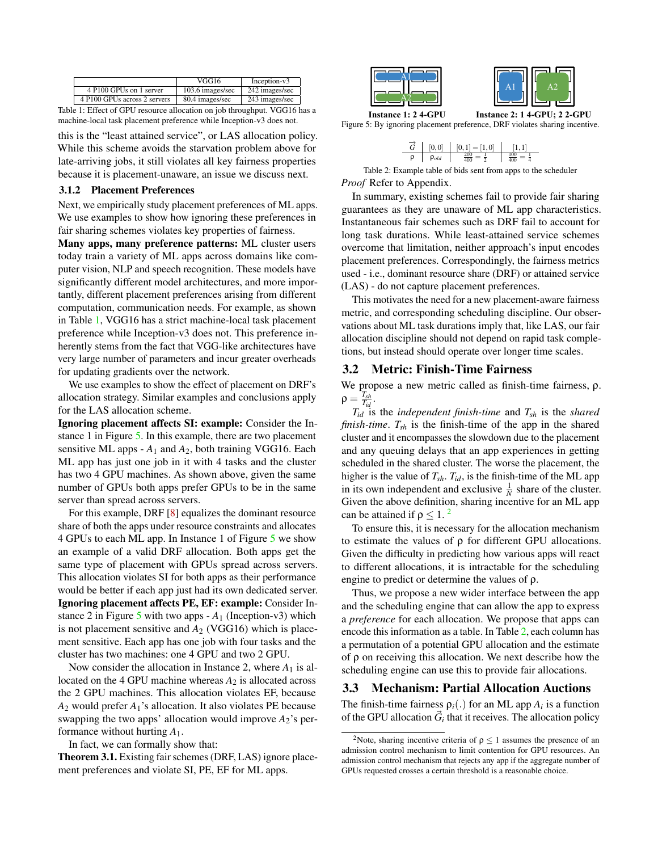|                              | VGG16            | Inception-v3   |
|------------------------------|------------------|----------------|
| 4 P100 GPUs on 1 server      | 103.6 images/sec | 242 images/sec |
| 4 P100 GPUs across 2 servers | 80.4 images/sec  | 243 images/sec |

Table 1: Effect of GPU resource allocation on job throughput. VGG16 has a machine-local task placement preference while Inception-v3 does not.

this is the "least attained service", or LAS allocation policy. While this scheme avoids the starvation problem above for late-arriving jobs, it still violates all key fairness properties because it is placement-unaware, an issue we discuss next.

### 3.1.2 Placement Preferences

Next, we empirically study placement preferences of ML apps. We use examples to show how ignoring these preferences in fair sharing schemes violates key properties of fairness.

Many apps, many preference patterns: ML cluster users today train a variety of ML apps across domains like computer vision, NLP and speech recognition. These models have significantly different model architectures, and more importantly, different placement preferences arising from different computation, communication needs. For example, as shown in Table 1, VGG16 has a strict machine-local task placement preference while Inception-v3 does not. This preference inherently stems from the fact that VGG-like architectures have very large number of parameters and incur greater overheads for updating gradients over the network.

We use examples to show the effect of placement on DRF's allocation strategy. Similar examples and conclusions apply for the LAS allocation scheme.

Ignoring placement affects SI: example: Consider the Instance 1 in Figure 5. In this example, there are two placement sensitive ML apps - *A*<sup>1</sup> and *A*2, both training VGG16. Each ML app has just one job in it with 4 tasks and the cluster has two 4 GPU machines. As shown above, given the same number of GPUs both apps prefer GPUs to be in the same server than spread across servers.

For this example, DRF [8] equalizes the dominant resource share of both the apps under resource constraints and allocates 4 GPUs to each ML app. In Instance 1 of Figure 5 we show an example of a valid DRF allocation. Both apps get the same type of placement with GPUs spread across servers. This allocation violates SI for both apps as their performance would be better if each app just had its own dedicated server. Ignoring placement affects PE, EF: example: Consider Instance 2 in Figure 5 with two apps  $-A_1$  (Inception-v3) which is not placement sensitive and  $A_2$  (VGG16) which is placement sensitive. Each app has one job with four tasks and the cluster has two machines: one 4 GPU and two 2 GPU.

Now consider the allocation in Instance 2, where  $A_1$  is allocated on the 4 GPU machine whereas  $A_2$  is allocated across the 2 GPU machines. This allocation violates EF, because *A*<sup>2</sup> would prefer *A*1's allocation. It also violates PE because swapping the two apps' allocation would improve  $A_2$ 's performance without hurting *A*1.

In fact, we can formally show that:

Theorem 3.1. Existing fair schemes (DRF, LAS) ignore placement preferences and violate SI, PE, EF for ML apps.



**Instance 1: 2 4-GPU Instance 2: 1 4-GPU; 2 2-GPU** Figure 5: By ignoring placement preference, DRF violates sharing incentive.

| [0,0]        | $[0,1] = [1,0]$ |  |
|--------------|-----------------|--|
| $\rho_{old}$ |                 |  |

Table 2: Example table of bids sent from apps to the scheduler *Proof* Refer to Appendix.

In summary, existing schemes fail to provide fair sharing guarantees as they are unaware of ML app characteristics. Instantaneous fair schemes such as DRF fail to account for long task durations. While least-attained service schemes overcome that limitation, neither approach's input encodes placement preferences. Correspondingly, the fairness metrics used - i.e., dominant resource share (DRF) or attained service (LAS) - do not capture placement preferences.

This motivates the need for a new placement-aware fairness metric, and corresponding scheduling discipline. Our observations about ML task durations imply that, like LAS, our fair allocation discipline should not depend on rapid task completions, but instead should operate over longer time scales.

### 3.2 Metric: Finish-Time Fairness

We propose a new metric called as finish-time fairness,  $\rho$ .  $\rho = \frac{T_{sh}}{T_{id}}$ .

*Tid* is the *independent finish-time* and *Tsh* is the *shared finish-time*. *Tsh* is the finish-time of the app in the shared cluster and it encompasses the slowdown due to the placement and any queuing delays that an app experiences in getting scheduled in the shared cluster. The worse the placement, the higher is the value of  $T_{sh}$ .  $T_{id}$ , is the finish-time of the ML app in its own independent and exclusive  $\frac{1}{N}$  share of the cluster. Given the above definition, sharing incentive for an ML app can be attained if  $\rho \leq 1$ . <sup>2</sup>

To ensure this, it is necessary for the allocation mechanism to estimate the values of  $\rho$  for different GPU allocations. Given the difficulty in predicting how various apps will react to different allocations, it is intractable for the scheduling engine to predict or determine the values of  $\rho$ .

Thus, we propose a new wider interface between the app and the scheduling engine that can allow the app to express a *preference* for each allocation. We propose that apps can encode this information as a table. In Table 2, each column has a permutation of a potential GPU allocation and the estimate of  $\rho$  on receiving this allocation. We next describe how the scheduling engine can use this to provide fair allocations.

## 3.3 Mechanism: Partial Allocation Auctions

The finish-time fairness  $\rho_i(.)$  for an ML app  $A_i$  is a function of the GPU allocation  $\vec{G}_i$  that it receives. The allocation policy

<sup>&</sup>lt;sup>2</sup>Note, sharing incentive criteria of  $\rho \le 1$  assumes the presence of an admission control mechanism to limit contention for GPU resources. An admission control mechanism that rejects any app if the aggregate number of GPUs requested crosses a certain threshold is a reasonable choice.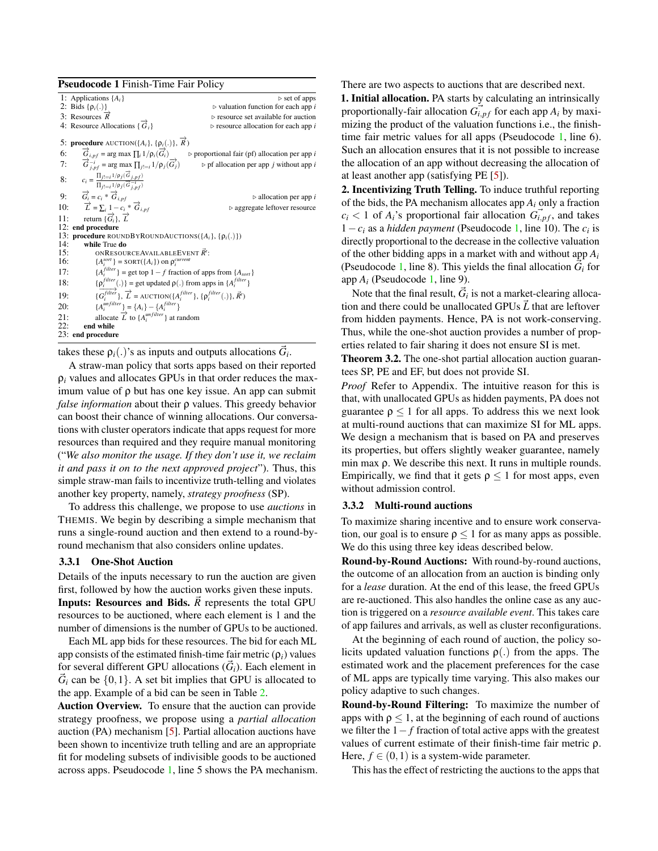|     | <b>Pseudocode 1 Finish-Time Fair Policy</b>                                                                                     |                                                              |  |  |  |  |
|-----|---------------------------------------------------------------------------------------------------------------------------------|--------------------------------------------------------------|--|--|--|--|
|     | 1: Applications $\{A_i\}$                                                                                                       | $\triangleright$ set of apps                                 |  |  |  |  |
|     | 2: Bids { $\rho_i(.)$ }                                                                                                         | $\triangleright$ valuation function for each app i           |  |  |  |  |
|     | 3: Resources $\vec{R}$                                                                                                          | $\triangleright$ resource set available for auction          |  |  |  |  |
|     | 4: Resource Allocations $\{\vec{G}_i\}$                                                                                         | $\triangleright$ resource allocation for each app i          |  |  |  |  |
|     | 5: procedure AUCTION({A <sub>i</sub> }, { $\rho$ <sub>i</sub> (.)}, $\vec{R}$ )                                                 |                                                              |  |  |  |  |
| 6:  | $\overrightarrow{G}_{i,pf}$ = arg max $\prod_{i} 1/p_i(\overrightarrow{G}_i)$                                                   | $\triangleright$ proportional fair (pf) allocation per app i |  |  |  |  |
|     | 7: $\overrightarrow{G}_{i,pf}^{-i} = \arg \max \prod_{j!=i} 1/\rho_j(\overrightarrow{G}_j)$                                     | $\triangleright$ pf allocation per app j without app i       |  |  |  |  |
|     | 8: $c_i = \frac{\prod_{j! = i} 1/\rho_j(\vec{G}_{j,pf})}{\prod_{j! = i} 1/\rho_j(\vec{G}_{i,pf}^{-i})}$                         |                                                              |  |  |  |  |
|     | 9: $\vec{G}_i = c_i * \vec{G}_{i,pf}$<br>10: $\vec{L} = \sum_i 1 - c_i * \vec{G}_{i,pf}$<br>11: return $\{\vec{G}_i\}, \vec{L}$ | $\triangleright$ allocation per app i                        |  |  |  |  |
|     |                                                                                                                                 | $\triangleright$ aggregate leftover resource                 |  |  |  |  |
|     |                                                                                                                                 |                                                              |  |  |  |  |
|     | 12: end procedure                                                                                                               |                                                              |  |  |  |  |
|     | 13: <b>procedure</b> ROUNDBYROUNDAUCTIONS( $\{A_i\}$ , $\{\rho_i(.)\}$ )                                                        |                                                              |  |  |  |  |
| 14: | while True do                                                                                                                   |                                                              |  |  |  |  |
| 15: | ONRESOURCEAVAILABLEEVENT $\vec{R}$ .                                                                                            |                                                              |  |  |  |  |
| 16: | ${A_i^{sort}}$ = SORT( ${A_i}$ ) on $\rho_i^{current}$                                                                          |                                                              |  |  |  |  |
| 17: | ${A_i^{filter}}$ = get top 1 – f fraction of apps from ${A_{sort}}$                                                             |                                                              |  |  |  |  |
| 18: | $\{\rho_i^{filter}(\cdot)\}$ = get updated $\rho(\cdot)$ from apps in $\{A_i^{filter}\}$                                        |                                                              |  |  |  |  |
| 19: | $\{\overrightarrow{G_i^{filter}}\}, \overrightarrow{L}$ = AUCTION( $\{A_i^{filter}\}, \{p_i^{filter}(.)\}, \vec{R'}$ )          |                                                              |  |  |  |  |
| 20: | ${A_i^{unfilter}} = {A_i} - {A_i^{filter}}$                                                                                     |                                                              |  |  |  |  |
| 21: | allocate $\overrightarrow{L}$ to $\{A_i^{unfilter}\}$ at random                                                                 |                                                              |  |  |  |  |
| 22: | end while                                                                                                                       |                                                              |  |  |  |  |
|     | 23: end procedure                                                                                                               |                                                              |  |  |  |  |

takes these  $\rho_i(.)$ 's as inputs and outputs allocations  $\vec{G}_i$ .

A straw-man policy that sorts apps based on their reported  $\rho_i$  values and allocates GPUs in that order reduces the maximum value of  $\rho$  but has one key issue. An app can submit *false information* about their  $\rho$  values. This greedy behavior can boost their chance of winning allocations. Our conversations with cluster operators indicate that apps request for more resources than required and they require manual monitoring ("*We also monitor the usage. If they don't use it, we reclaim it and pass it on to the next approved project*"). Thus, this simple straw-man fails to incentivize truth-telling and violates another key property, namely, *strategy proofness* (SP).

To address this challenge, we propose to use *auctions* in THEMIS. We begin by describing a simple mechanism that runs a single-round auction and then extend to a round-byround mechanism that also considers online updates.

### 3.3.1 One-Shot Auction

Details of the inputs necessary to run the auction are given first, followed by how the auction works given these inputs. **Inputs: Resources and Bids.**  $\vec{R}$  represents the total GPU resources to be auctioned, where each element is 1 and the number of dimensions is the number of GPUs to be auctioned.

Each ML app bids for these resources. The bid for each ML app consists of the estimated finish-time fair metric  $(\rho_i)$  values for several different GPU allocations  $(\vec{G}_i)$ . Each element in  $\vec{G}_i$  can be  $\{0,1\}$ . A set bit implies that GPU is allocated to the app. Example of a bid can be seen in Table 2.

Auction Overview. To ensure that the auction can provide strategy proofness, we propose using a *partial allocation* auction (PA) mechanism [5]. Partial allocation auctions have been shown to incentivize truth telling and are an appropriate fit for modeling subsets of indivisible goods to be auctioned across apps. Pseudocode 1, line 5 shows the PA mechanism. There are two aspects to auctions that are described next.

1. Initial allocation. PA starts by calculating an intrinsically proportionally-fair allocation  $\overrightarrow{G}_{i,pf}$  for each app  $A_i$  by maximizing the product of the valuation functions i.e., the finishtime fair metric values for all apps (Pseudocode 1, line 6). Such an allocation ensures that it is not possible to increase the allocation of an app without decreasing the allocation of at least another app (satisfying PE [5]).

2. Incentivizing Truth Telling. To induce truthful reporting of the bids, the PA mechanism allocates app *Ai* only a fraction  $c_i$  < 1 of  $A_i$ 's proportional fair allocation  $G_{i,pf}$ , and takes  $1 - c_i$  as a *hidden payment* (Pseudocode 1, line 10). The  $c_i$  is directly proportional to the decrease in the collective valuation of the other bidding apps in a market with and without app *Ai* (Pseudocode 1, line 8). This yields the final allocation  $\vec{G}_i$  for app *Ai* (Pseudocode 1, line 9).

Note that the final result,  $G_i$  is not a market-clearing allocation and there could be unallocated GPUs  $\vec{L}$  that are leftover from hidden payments. Hence, PA is not work-conserving. Thus, while the one-shot auction provides a number of properties related to fair sharing it does not ensure SI is met.

Theorem 3.2. The one-shot partial allocation auction guarantees SP, PE and EF, but does not provide SI.

*Proof* Refer to Appendix. The intuitive reason for this is that, with unallocated GPUs as hidden payments, PA does not guarantee  $\rho$  < 1 for all apps. To address this we next look at multi-round auctions that can maximize SI for ML apps. We design a mechanism that is based on PA and preserves its properties, but offers slightly weaker guarantee, namely min max  $\rho$ . We describe this next. It runs in multiple rounds. Empirically, we find that it gets  $\rho \leq 1$  for most apps, even without admission control.

### 3.3.2 Multi-round auctions

To maximize sharing incentive and to ensure work conservation, our goal is to ensure  $\rho \leq 1$  for as many apps as possible. We do this using three key ideas described below.

Round-by-Round Auctions: With round-by-round auctions, the outcome of an allocation from an auction is binding only for a *lease* duration. At the end of this lease, the freed GPUs are re-auctioned. This also handles the online case as any auction is triggered on a *resource available event*. This takes care of app failures and arrivals, as well as cluster reconfigurations.

At the beginning of each round of auction, the policy solicits updated valuation functions  $\rho(.)$  from the apps. The estimated work and the placement preferences for the case of ML apps are typically time varying. This also makes our policy adaptive to such changes.

Round-by-Round Filtering: To maximize the number of apps with  $\rho \leq 1$ , at the beginning of each round of auctions we filter the  $1 - f$  fraction of total active apps with the greatest values of current estimate of their finish-time fair metric  $\rho$ . Here,  $f \in (0,1)$  is a system-wide parameter.

This has the effect of restricting the auctions to the apps that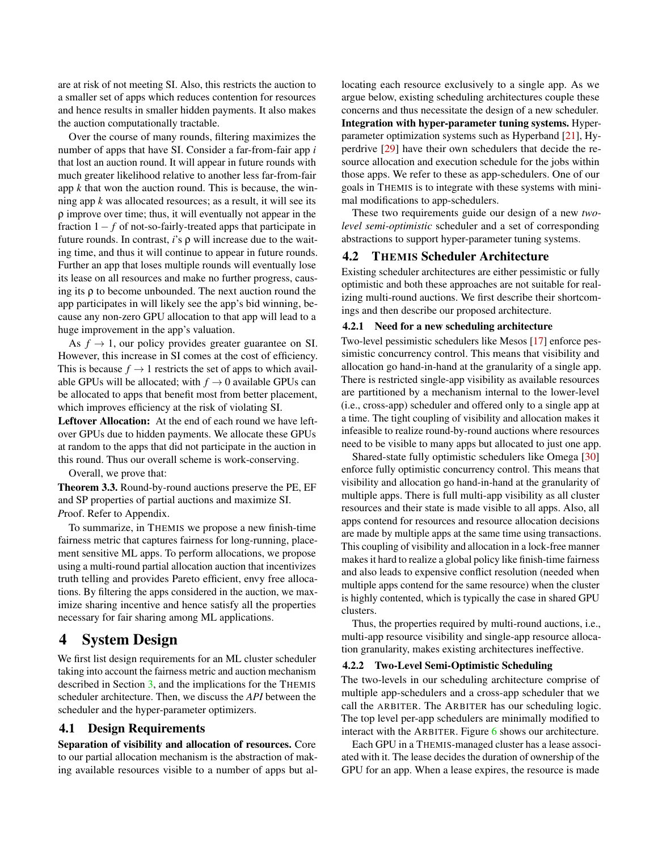are at risk of not meeting SI. Also, this restricts the auction to a smaller set of apps which reduces contention for resources and hence results in smaller hidden payments. It also makes the auction computationally tractable.

Over the course of many rounds, filtering maximizes the number of apps that have SI. Consider a far-from-fair app *i* that lost an auction round. It will appear in future rounds with much greater likelihood relative to another less far-from-fair app *k* that won the auction round. This is because, the winning app *k* was allocated resources; as a result, it will see its  $\rho$  improve over time; thus, it will eventually not appear in the fraction  $1 - f$  of not-so-fairly-treated apps that participate in future rounds. In contrast,  $i$ 's  $\rho$  will increase due to the waiting time, and thus it will continue to appear in future rounds. Further an app that loses multiple rounds will eventually lose its lease on all resources and make no further progress, causing its  $\rho$  to become unbounded. The next auction round the app participates in will likely see the app's bid winning, because any non-zero GPU allocation to that app will lead to a huge improvement in the app's valuation.

As  $f \rightarrow 1$ , our policy provides greater guarantee on SI. However, this increase in SI comes at the cost of efficiency. This is because  $f \rightarrow 1$  restricts the set of apps to which available GPUs will be allocated; with  $f \rightarrow 0$  available GPUs can be allocated to apps that benefit most from better placement, which improves efficiency at the risk of violating SI.

Leftover Allocation: At the end of each round we have leftover GPUs due to hidden payments. We allocate these GPUs at random to the apps that did not participate in the auction in this round. Thus our overall scheme is work-conserving.

Overall, we prove that:

Theorem 3.3. Round-by-round auctions preserve the PE, EF and SP properties of partial auctions and maximize SI. *P*roof. Refer to Appendix.

To summarize, in THEMIS we propose a new finish-time fairness metric that captures fairness for long-running, placement sensitive ML apps. To perform allocations, we propose using a multi-round partial allocation auction that incentivizes truth telling and provides Pareto efficient, envy free allocations. By filtering the apps considered in the auction, we maximize sharing incentive and hence satisfy all the properties necessary for fair sharing among ML applications.

# 4 System Design

We first list design requirements for an ML cluster scheduler taking into account the fairness metric and auction mechanism described in Section 3, and the implications for the THEMIS scheduler architecture. Then, we discuss the *API* between the scheduler and the hyper-parameter optimizers.

## 4.1 Design Requirements

Separation of visibility and allocation of resources. Core to our partial allocation mechanism is the abstraction of making available resources visible to a number of apps but allocating each resource exclusively to a single app. As we argue below, existing scheduling architectures couple these concerns and thus necessitate the design of a new scheduler. Integration with hyper-parameter tuning systems. Hyperparameter optimization systems such as Hyperband [21], Hyperdrive [29] have their own schedulers that decide the resource allocation and execution schedule for the jobs within those apps. We refer to these as app-schedulers. One of our goals in THEMIS is to integrate with these systems with minimal modifications to app-schedulers.

These two requirements guide our design of a new *twolevel semi-optimistic* scheduler and a set of corresponding abstractions to support hyper-parameter tuning systems.

## 4.2 THEMIS Scheduler Architecture

Existing scheduler architectures are either pessimistic or fully optimistic and both these approaches are not suitable for realizing multi-round auctions. We first describe their shortcomings and then describe our proposed architecture.

### 4.2.1 Need for a new scheduling architecture

Two-level pessimistic schedulers like Mesos [17] enforce pessimistic concurrency control. This means that visibility and allocation go hand-in-hand at the granularity of a single app. There is restricted single-app visibility as available resources are partitioned by a mechanism internal to the lower-level (i.e., cross-app) scheduler and offered only to a single app at a time. The tight coupling of visibility and allocation makes it infeasible to realize round-by-round auctions where resources need to be visible to many apps but allocated to just one app.

Shared-state fully optimistic schedulers like Omega [30] enforce fully optimistic concurrency control. This means that visibility and allocation go hand-in-hand at the granularity of multiple apps. There is full multi-app visibility as all cluster resources and their state is made visible to all apps. Also, all apps contend for resources and resource allocation decisions are made by multiple apps at the same time using transactions. This coupling of visibility and allocation in a lock-free manner makes it hard to realize a global policy like finish-time fairness and also leads to expensive conflict resolution (needed when multiple apps contend for the same resource) when the cluster is highly contented, which is typically the case in shared GPU clusters.

Thus, the properties required by multi-round auctions, i.e., multi-app resource visibility and single-app resource allocation granularity, makes existing architectures ineffective.

#### 4.2.2 Two-Level Semi-Optimistic Scheduling

The two-levels in our scheduling architecture comprise of multiple app-schedulers and a cross-app scheduler that we call the ARBITER. The ARBITER has our scheduling logic. The top level per-app schedulers are minimally modified to interact with the ARBITER. Figure 6 shows our architecture.

Each GPU in a THEMIS-managed cluster has a lease associated with it. The lease decides the duration of ownership of the GPU for an app. When a lease expires, the resource is made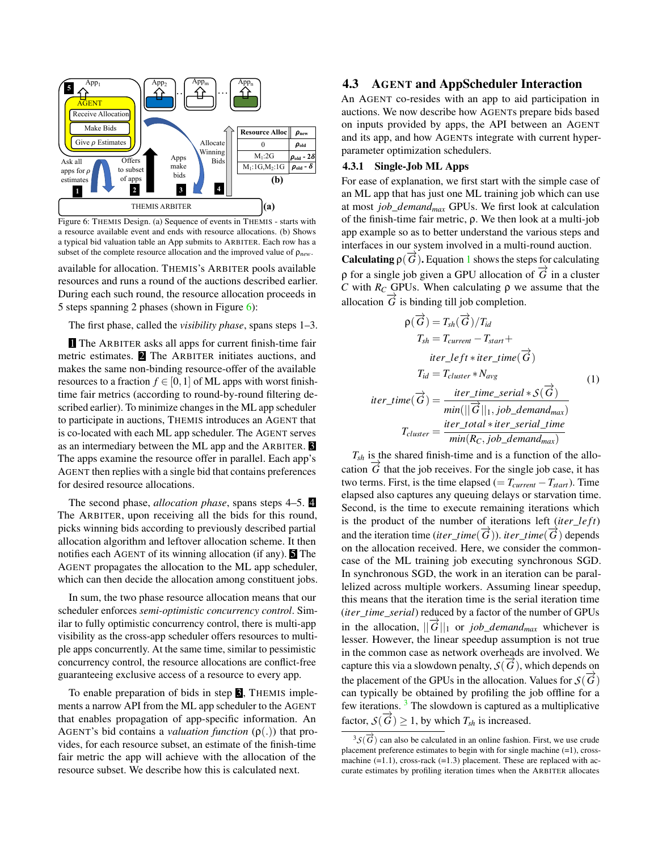

Figure 6: THEMIS Design. (a) Sequence of events in THEMIS - starts with a resource available event and ends with resource allocations. (b) Shows a typical bid valuation table an App submits to ARBITER. Each row has a subset of the complete resource allocation and the improved value of  $\rho_{new}$ .

available for allocation. THEMIS's ARBITER pools available resources and runs a round of the auctions described earlier. During each such round, the resource allocation proceeds in 5 steps spanning 2 phases (shown in Figure 6):

The first phase, called the *visibility phase*, spans steps 1–3.

**The ARBITER asks all apps for current finish-time fair** metric estimates. 2 The ARBITER initiates auctions, and makes the same non-binding resource-offer of the available resources to a fraction  $f \in [0,1]$  of ML apps with worst finishtime fair metrics (according to round-by-round filtering described earlier). To minimize changes in the ML app scheduler to participate in auctions, THEMIS introduces an AGENT that is co-located with each ML app scheduler. The AGENT serves as an intermediary between the ML app and the ARBITER. The apps examine the resource offer in parallel. Each app's AGENT then replies with a single bid that contains preferences for desired resource allocations.

The second phase, *allocation phase*, spans steps 4–5. 4 The ARBITER, upon receiving all the bids for this round, picks winning bids according to previously described partial allocation algorithm and leftover allocation scheme. It then notifies each AGENT of its winning allocation (if any).  $\blacksquare$  The AGENT propagates the allocation to the ML app scheduler, which can then decide the allocation among constituent jobs.

In sum, the two phase resource allocation means that our scheduler enforces *semi-optimistic concurrency control*. Similar to fully optimistic concurrency control, there is multi-app visibility as the cross-app scheduler offers resources to multiple apps concurrently. At the same time, similar to pessimistic concurrency control, the resource allocations are conflict-free guaranteeing exclusive access of a resource to every app.

To enable preparation of bids in step  $\mathbf{\mathbf{\mathsf{S}}}$ . THEMIS implements a narrow API from the ML app scheduler to the AGENT that enables propagation of app-specific information. An AGENT's bid contains a *valuation function*  $(\rho(.))$  that provides, for each resource subset, an estimate of the finish-time fair metric the app will achieve with the allocation of the resource subset. We describe how this is calculated next.

## 4.3 AGENT and AppScheduler Interaction

An AGENT co-resides with an app to aid participation in auctions. We now describe how AGENTs prepare bids based on inputs provided by apps, the API between an AGENT and its app, and how AGENTs integrate with current hyperparameter optimization schedulers.

#### 4.3.1 Single-Job ML Apps

For ease of explanation, we first start with the simple case of an ML app that has just one ML training job which can use at most *job*\_*demandmax* GPUs. We first look at calculation of the finish-time fair metric,  $\rho$ . We then look at a multi-job app example so as to better understand the various steps and interfaces in our system involved in a multi-round auction.

**Calculating**  $\rho(\overrightarrow{G})$ . Equation 1 shows the steps for calculating  $\rho$  for a single job given a GPU allocation of  $\vec{G}$  in a cluster *C* with  $R_C$  GPUs. When calculating  $\rho$  we assume that the allocation  $\overrightarrow{G}$  is binding till job completion.

$$
\rho(\overrightarrow{G}) = T_{sh}(\overrightarrow{G})/T_{id}
$$
  
\n
$$
T_{sh} = T_{current} - T_{start} +
$$
  
\n
$$
iter\_left*iter\_time(\overrightarrow{G})
$$
  
\n
$$
T_{id} = T_{cluster} * N_{avg}
$$
  
\n
$$
iter\_time(\overrightarrow{G}) = \frac{iter\_time\_serial * S(\overrightarrow{G})}{min(||\overrightarrow{G}||_1, job\_demand_{max})}
$$
  
\n
$$
T_{cluster} = \frac{iter\_total * iter\_serial\_time}{min(R_C, job\_demand_{max})}
$$
 (1)

 $T_{sh}$  is the shared finish-time and is a function of the allocation  $\hat{G}$  that the job receives. For the single job case, it has two terms. First, is the time elapsed ( $=T_{current}-T_{start}$ ). Time elapsed also captures any queuing delays or starvation time. Second, is the time to execute remaining iterations which is the product of the number of iterations left (*iter*\_*left*) and the iteration time (*iter\_time*( $\overrightarrow{G}$ )). *iter\_time*( $\overrightarrow{G}$ ) depends on the allocation received. Here, we consider the commoncase of the ML training job executing synchronous SGD. In synchronous SGD, the work in an iteration can be parallelized across multiple workers. Assuming linear speedup, this means that the iteration time is the serial iteration time (*iter*\_*time*\_*serial*) reduced by a factor of the number of GPUs in the allocation,  $||\vec{G}||_1$  or *job\_demand<sub>max</sub>* whichever is lesser. However, the linear speedup assumption is not true in the common case as network overheads are involved. We capture this via a slowdown penalty,  $\mathcal{S}(\overrightarrow{G})$ , which depends on the placement of the GPUs in the allocation. Values for  $\mathcal{S}(\overrightarrow{G})$ can typically be obtained by profiling the job offline for a few iterations.  $3$  The slowdown is captured as a multiplicative factor,  $S(\overrightarrow{G}) \geq 1$ , by which  $T_{sh}$  is increased.

 ${}^{3}S(\overrightarrow{G})$  can also be calculated in an online fashion. First, we use crude placement preference estimates to begin with for single machine (=1), crossmachine  $(=1.1)$ , cross-rack  $(=1.3)$  placement. These are replaced with accurate estimates by profiling iteration times when the ARBITER allocates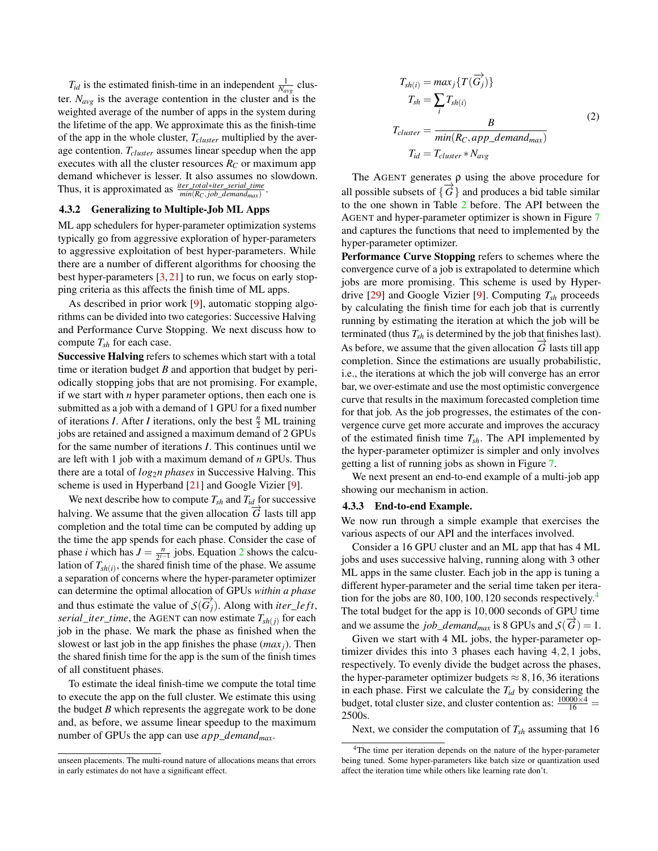$T_{id}$  is the estimated finish-time in an independent  $\frac{1}{N_{avg}}$  cluster.  $N_{avg}$  is the average contention in the cluster and is the weighted average of the number of apps in the system during the lifetime of the app. We approximate this as the finish-time of the app in the whole cluster, *Tcluster* multiplied by the average contention. *Tcluster* assumes linear speedup when the app executes with all the cluster resources  $R_C$  or maximum app demand whichever is lesser. It also assumes no slowdown. Thus, it is approximated as  $\frac{iter\_total*iter\_serial\_time}{min(R_C,job\_demand_{max})}$ .

#### 4.3.2 Generalizing to Multiple-Job ML Apps

ML app schedulers for hyper-parameter optimization systems typically go from aggressive exploration of hyper-parameters to aggressive exploitation of best hyper-parameters. While there are a number of different algorithms for choosing the best hyper-parameters [3, 21] to run, we focus on early stopping criteria as this affects the finish time of ML apps.

As described in prior work [9], automatic stopping algorithms can be divided into two categories: Successive Halving and Performance Curve Stopping. We next discuss how to compute *Tsh* for each case.

Successive Halving refers to schemes which start with a total time or iteration budget *B* and apportion that budget by periodically stopping jobs that are not promising. For example, if we start with *n* hyper parameter options, then each one is submitted as a job with a demand of 1 GPU for a fixed number of iterations *I*. After *I* iterations, only the best  $\frac{n}{2}$  ML training jobs are retained and assigned a maximum demand of 2 GPUs for the same number of iterations *I*. This continues until we are left with 1 job with a maximum demand of *n* GPUs. Thus there are a total of *log*2*n phases* in Successive Halving. This scheme is used in Hyperband [21] and Google Vizier [9].

We next describe how to compute  $T_{sh}$  and  $T_{id}$  for successive halving. We assume that the given allocation  $\hat{G}$  lasts till app completion and the total time can be computed by adding up the time the app spends for each phase. Consider the case of phase *i* which has  $J = \frac{n}{2^{i-1}}$  jobs. Equation 2 shows the calculation of  $T_{sh(i)}$ , the shared finish time of the phase. We assume a separation of concerns where the hyper-parameter optimizer can determine the optimal allocation of GPUs *within a phase* and thus estimate the value of  $S(\overrightarrow{G_j})$ . Along with *iter\_left*, *serial\_iter\_time,* the AGENT can now estimate  $T_{sh(j)}$  for each job in the phase. We mark the phase as finished when the slowest or last job in the app finishes the phase (*max <sup>j</sup>*). Then the shared finish time for the app is the sum of the finish times of all constituent phases.

To estimate the ideal finish-time we compute the total time to execute the app on the full cluster. We estimate this using the budget *B* which represents the aggregate work to be done and, as before, we assume linear speedup to the maximum number of GPUs the app can use *app*\_*demandmax*.

$$
T_{sh(i)} = max_j \{ T(\overrightarrow{G_j}) \}
$$
  
\n
$$
T_{sh} = \sum_i T_{sh(i)}
$$
  
\n
$$
T_{cluster} = \frac{B}{min(R_C, app\_demand_{max})}
$$
  
\n
$$
T_{id} = T_{cluster} * N_{avg}
$$
 (2)

The AGENT generates  $\rho$  using the above procedure for all possible subsets of  $\{\overrightarrow{G}\}$  and produces a bid table similar to the one shown in Table 2 before. The API between the AGENT and hyper-parameter optimizer is shown in Figure 7 and captures the functions that need to implemented by the hyper-parameter optimizer.

Performance Curve Stopping refers to schemes where the convergence curve of a job is extrapolated to determine which jobs are more promising. This scheme is used by Hyperdrive [29] and Google Vizier [9]. Computing *Tsh* proceeds by calculating the finish time for each job that is currently running by estimating the iteration at which the job will be terminated (thus  $T_{sh}$  is determined by the job that finishes last). As before, we assume that the given allocation  $\overline{G}$  lasts till app completion. Since the estimations are usually probabilistic, i.e., the iterations at which the job will converge has an error bar, we over-estimate and use the most optimistic convergence curve that results in the maximum forecasted completion time for that job. As the job progresses, the estimates of the convergence curve get more accurate and improves the accuracy of the estimated finish time  $T_{sh}$ . The API implemented by the hyper-parameter optimizer is simpler and only involves getting a list of running jobs as shown in Figure 7.

We next present an end-to-end example of a multi-job app showing our mechanism in action.

#### 4.3.3 End-to-end Example.

We now run through a simple example that exercises the various aspects of our API and the interfaces involved.

Consider a 16 GPU cluster and an ML app that has 4 ML jobs and uses successive halving, running along with 3 other ML apps in the same cluster. Each job in the app is tuning a different hyper-parameter and the serial time taken per iteration for the jobs are 80*,*100*,*100*,*120 seconds respectively.4 The total budget for the app is 10*,*000 seconds of GPU time and we assume the *job\_demand<sub>max</sub>* is 8 GPUs and  $S(\overrightarrow{G}) = 1$ .

Given we start with 4 ML jobs, the hyper-parameter optimizer divides this into 3 phases each having 4*,*2*,*1 jobs, respectively. To evenly divide the budget across the phases, the hyper-parameter optimizer budgets  $\approx 8, 16, 36$  iterations in each phase. First we calculate the *Tid* by considering the budget, total cluster size, and cluster contention as:  $\frac{10000\times4}{16}$  = 2500s.

Next, we consider the computation of *Tsh* assuming that 16

unseen placements. The multi-round nature of allocations means that errors in early estimates do not have a significant effect.

<sup>&</sup>lt;sup>4</sup>The time per iteration depends on the nature of the hyper-parameter being tuned. Some hyper-parameters like batch size or quantization used affect the iteration time while others like learning rate don't.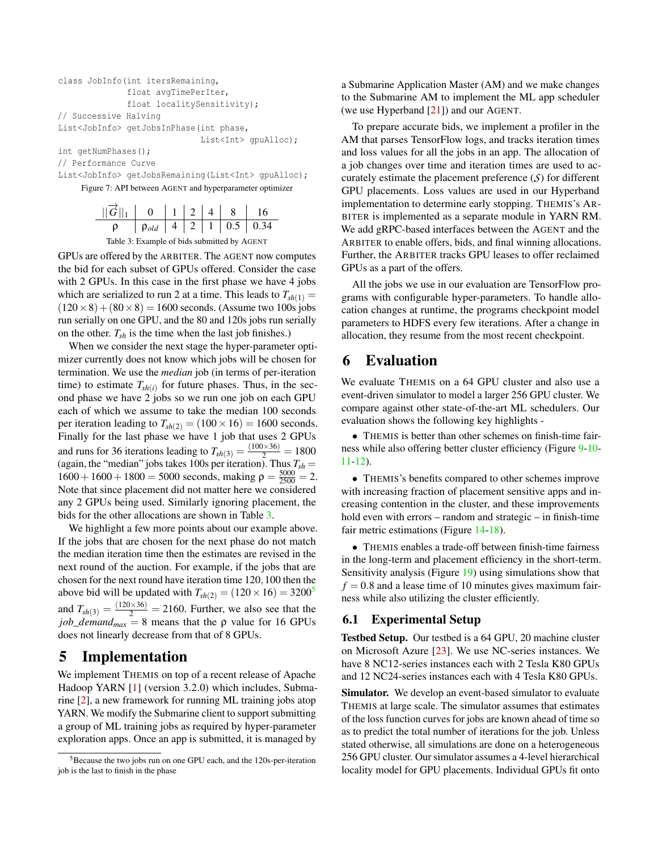```
class JobInfo(int itersRemaining,
              float avgTimePerIter,
              float localitySensitivity);
// Successive Halving
List<JobInfo> getJobsInPhase(int phase,
                             List<Int> gpuAlloc);
```
int getNumPhases();

// Performance Curve

List<JobInfo> getJobsRemaining(List<Int> gpuAlloc);

Figure 7: API between AGENT and hyperparameter optimizer

| $  \vec{G}  _1$ 0 1 2 4 8 16       |  |  |  |
|------------------------------------|--|--|--|
| $\rho$ $\rho_{old}$ 4 2 1 0.5 0.34 |  |  |  |

Table 3: Example of bids submitted by AGENT

GPUs are offered by the ARBITER. The AGENT now computes the bid for each subset of GPUs offered. Consider the case with 2 GPUs. In this case in the first phase we have 4 jobs which are serialized to run 2 at a time. This leads to  $T_{sh(1)} =$  $(120 \times 8) + (80 \times 8) = 1600$  seconds. (Assume two 100s jobs run serially on one GPU, and the 80 and 120s jobs run serially on the other.  $T_{sh}$  is the time when the last job finishes.)

When we consider the next stage the hyper-parameter optimizer currently does not know which jobs will be chosen for termination. We use the *median* job (in terms of per-iteration time) to estimate  $T_{sh(i)}$  for future phases. Thus, in the second phase we have 2 jobs so we run one job on each GPU each of which we assume to take the median 100 seconds per iteration leading to  $T_{sh(2)} = (100 \times 16) = 1600$  seconds. Finally for the last phase we have 1 job that uses 2 GPUs and runs for 36 iterations leading to  $T_{sh(3)} = \frac{(100 \times 36)}{2} = 1800$ (again, the "median" jobs takes 100s per iteration). Thus  $T_{sh}$  =  $1600 + 1600 + 1800 = 5000$  seconds, making  $\rho = \frac{5000}{2500} = 2$ . Note that since placement did not matter here we considered any 2 GPUs being used. Similarly ignoring placement, the bids for the other allocations are shown in Table 3.

We highlight a few more points about our example above. If the jobs that are chosen for the next phase do not match the median iteration time then the estimates are revised in the next round of the auction. For example, if the jobs that are chosen for the next round have iteration time 120*,*100 then the above bid will be updated with  $T_{sh(2)} = (120 \times 16) = 3200^5$ and  $T_{sh(3)} = \frac{(120 \times 36)}{2} = 2160$ . Further, we also see that the *job*\_*demand<sub>max</sub>* = 8 means that the  $\rho$  value for 16 GPUs does not linearly decrease from that of 8 GPUs.

# 5 Implementation

We implement THEMIS on top of a recent release of Apache Hadoop YARN [1] (version 3*.*2*.*0) which includes, Submarine [2], a new framework for running ML training jobs atop YARN. We modify the Submarine client to support submitting a group of ML training jobs as required by hyper-parameter exploration apps. Once an app is submitted, it is managed by

a Submarine Application Master (AM) and we make changes to the Submarine AM to implement the ML app scheduler (we use Hyperband [21]) and our AGENT.

To prepare accurate bids, we implement a profiler in the AM that parses TensorFlow logs, and tracks iteration times and loss values for all the jobs in an app. The allocation of a job changes over time and iteration times are used to accurately estimate the placement preference (*S*) for different GPU placements. Loss values are used in our Hyperband implementation to determine early stopping. THEMIS's AR-BITER is implemented as a separate module in YARN RM. We add gRPC-based interfaces between the AGENT and the ARBITER to enable offers, bids, and final winning allocations. Further, the ARBITER tracks GPU leases to offer reclaimed GPUs as a part of the offers.

All the jobs we use in our evaluation are TensorFlow programs with configurable hyper-parameters. To handle allocation changes at runtime, the programs checkpoint model parameters to HDFS every few iterations. After a change in allocation, they resume from the most recent checkpoint.

# 6 Evaluation

We evaluate THEMIS on a 64 GPU cluster and also use a event-driven simulator to model a larger 256 GPU cluster. We compare against other state-of-the-art ML schedulers. Our evaluation shows the following key highlights -

*•* THEMIS is better than other schemes on finish-time fairness while also offering better cluster efficiency (Figure 9-10- 11-12).

*•* THEMIS's benefits compared to other schemes improve with increasing fraction of placement sensitive apps and increasing contention in the cluster, and these improvements hold even with errors – random and strategic – in finish-time fair metric estimations (Figure 14-18).

*•* THEMIS enables a trade-off between finish-time fairness in the long-term and placement efficiency in the short-term. Sensitivity analysis (Figure 19) using simulations show that  $f = 0.8$  and a lease time of 10 minutes gives maximum fairness while also utilizing the cluster efficiently.

## 6.1 Experimental Setup

Testbed Setup. Our testbed is a 64 GPU, 20 machine cluster on Microsoft Azure [23]. We use NC-series instances. We have 8 NC12-series instances each with 2 Tesla K80 GPUs and 12 NC24-series instances each with 4 Tesla K80 GPUs.

Simulator. We develop an event-based simulator to evaluate THEMIS at large scale. The simulator assumes that estimates of the loss function curves for jobs are known ahead of time so as to predict the total number of iterations for the job. Unless stated otherwise, all simulations are done on a heterogeneous 256 GPU cluster. Our simulator assumes a 4-level hierarchical locality model for GPU placements. Individual GPUs fit onto

<sup>5</sup>Because the two jobs run on one GPU each, and the 120s-per-iteration job is the last to finish in the phase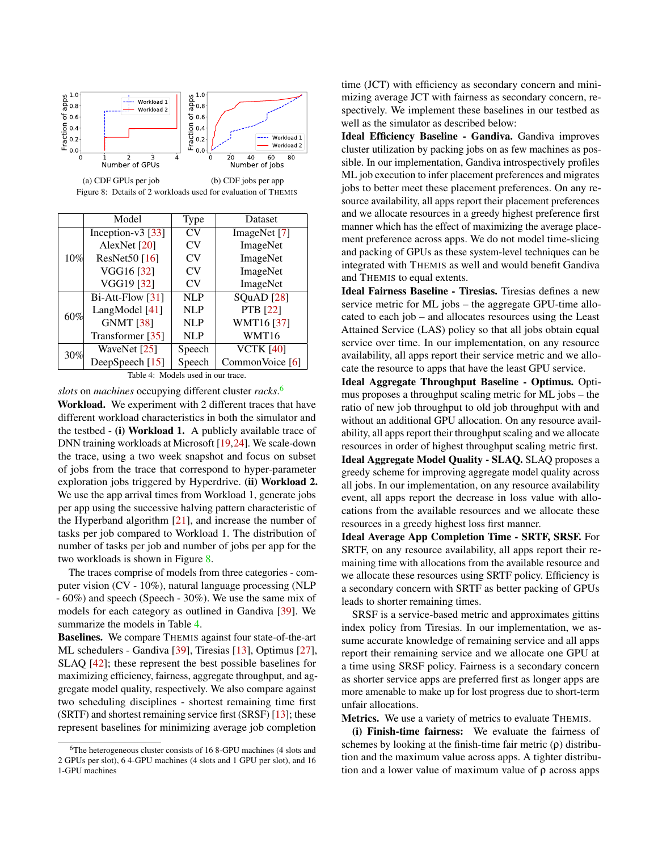

|     | Model                      | Type           | Dataset          |
|-----|----------------------------|----------------|------------------|
| 10% | Inception- $v3$ [33]       | CV             | ImageNet [7]     |
|     | AlexNet $[20]$             | CV             | ImageNet         |
|     | ResNet50 $[16]$            | CV             | ImageNet         |
|     | VGG16 [32]                 | CV             | ImageNet         |
|     | VGG19 [32]                 | CV <sub></sub> | ImageNet         |
|     | $Bi-Att-Flow [31]$         | <b>NLP</b>     | SQuAD [28]       |
| 60% | LangModel [41]             | <b>NLP</b>     | PTB [22]         |
|     | <b>GNMT [38]</b>           | <b>NLP</b>     | WMT16 [37]       |
|     | Transformer [35]           | <b>NLP</b>     | WMT16            |
| 30% | WaveNet [25]               | Speech         | <b>VCTK [40]</b> |
|     | DeepSpeech <sup>[15]</sup> | Speech         | CommonVoice [6]  |

Table 4: Models used in our trace.

*slots* on *machines* occupying different cluster *racks*. 6

Workload. We experiment with 2 different traces that have different workload characteristics in both the simulator and the testbed - (i) Workload 1. A publicly available trace of DNN training workloads at Microsoft [19,24]. We scale-down the trace, using a two week snapshot and focus on subset of jobs from the trace that correspond to hyper-parameter exploration jobs triggered by Hyperdrive. (ii) Workload 2. We use the app arrival times from Workload 1, generate jobs per app using the successive halving pattern characteristic of the Hyperband algorithm [21], and increase the number of tasks per job compared to Workload 1. The distribution of number of tasks per job and number of jobs per app for the two workloads is shown in Figure 8.

The traces comprise of models from three categories - computer vision (CV - 10%), natural language processing (NLP - 60%) and speech (Speech - 30%). We use the same mix of models for each category as outlined in Gandiva [39]. We summarize the models in Table 4.

Baselines. We compare THEMIS against four state-of-the-art ML schedulers - Gandiva [39], Tiresias [13], Optimus [27], SLAQ [42]; these represent the best possible baselines for maximizing efficiency, fairness, aggregate throughput, and aggregate model quality, respectively. We also compare against two scheduling disciplines - shortest remaining time first (SRTF) and shortest remaining service first (SRSF) [13]; these represent baselines for minimizing average job completion

time (JCT) with efficiency as secondary concern and minimizing average JCT with fairness as secondary concern, respectively. We implement these baselines in our testbed as well as the simulator as described below:

Ideal Efficiency Baseline - Gandiva. Gandiva improves cluster utilization by packing jobs on as few machines as possible. In our implementation, Gandiva introspectively profiles ML job execution to infer placement preferences and migrates jobs to better meet these placement preferences. On any resource availability, all apps report their placement preferences and we allocate resources in a greedy highest preference first manner which has the effect of maximizing the average placement preference across apps. We do not model time-slicing and packing of GPUs as these system-level techniques can be integrated with THEMIS as well and would benefit Gandiva and THEMIS to equal extents.

Ideal Fairness Baseline - Tiresias. Tiresias defines a new service metric for ML jobs – the aggregate GPU-time allocated to each job – and allocates resources using the Least Attained Service (LAS) policy so that all jobs obtain equal service over time. In our implementation, on any resource availability, all apps report their service metric and we allocate the resource to apps that have the least GPU service.

Ideal Aggregate Throughput Baseline - Optimus. Optimus proposes a throughput scaling metric for ML jobs – the ratio of new job throughput to old job throughput with and without an additional GPU allocation. On any resource availability, all apps report their throughput scaling and we allocate resources in order of highest throughput scaling metric first. Ideal Aggregate Model Quality - SLAQ. SLAQ proposes a greedy scheme for improving aggregate model quality across all jobs. In our implementation, on any resource availability event, all apps report the decrease in loss value with allocations from the available resources and we allocate these resources in a greedy highest loss first manner.

Ideal Average App Completion Time - SRTF, SRSF. For SRTF, on any resource availability, all apps report their remaining time with allocations from the available resource and we allocate these resources using SRTF policy. Efficiency is a secondary concern with SRTF as better packing of GPUs leads to shorter remaining times.

SRSF is a service-based metric and approximates gittins index policy from Tiresias. In our implementation, we assume accurate knowledge of remaining service and all apps report their remaining service and we allocate one GPU at a time using SRSF policy. Fairness is a secondary concern as shorter service apps are preferred first as longer apps are more amenable to make up for lost progress due to short-term unfair allocations.

Metrics. We use a variety of metrics to evaluate THEMIS.

(i) Finish-time fairness: We evaluate the fairness of schemes by looking at the finish-time fair metric  $(\rho)$  distribution and the maximum value across apps. A tighter distribution and a lower value of maximum value of  $\rho$  across apps

<sup>6</sup>The heterogeneous cluster consists of 16 8-GPU machines (4 slots and 2 GPUs per slot), 6 4-GPU machines (4 slots and 1 GPU per slot), and 16 1-GPU machines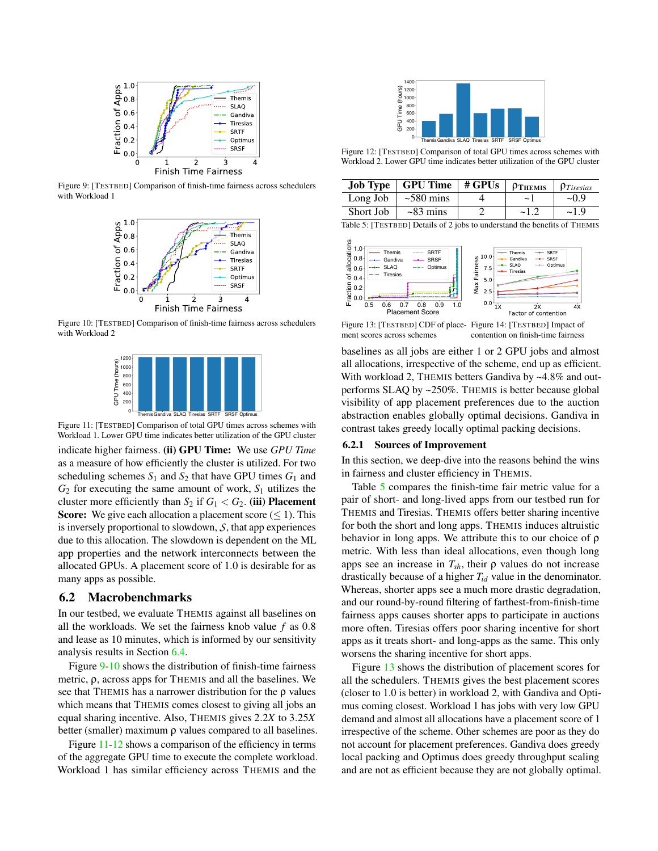

Figure 9: [TESTBED] Comparison of finish-time fairness across schedulers with Workload 1



Figure 10: [TESTBED] Comparison of finish-time fairness across schedulers with Workload 2



Figure 11: [TESTBED] Comparison of total GPU times across schemes with Workload 1. Lower GPU time indicates better utilization of the GPU cluster indicate higher fairness. (ii) GPU Time: We use *GPU Time* as a measure of how efficiently the cluster is utilized. For two scheduling schemes  $S_1$  and  $S_2$  that have GPU times  $G_1$  and  $G_2$  for executing the same amount of work,  $S_1$  utilizes the cluster more efficiently than  $S_2$  if  $G_1 < G_2$ . (iii) **Placement Score:** We give each allocation a placement score  $(\leq 1)$ . This is inversely proportional to slowdown, *S*, that app experiences due to this allocation. The slowdown is dependent on the ML app properties and the network interconnects between the allocated GPUs. A placement score of 1*.*0 is desirable for as many apps as possible.

### 6.2 Macrobenchmarks

In our testbed, we evaluate THEMIS against all baselines on all the workloads. We set the fairness knob value *f* as 0*.*8 and lease as 10 minutes, which is informed by our sensitivity analysis results in Section 6.4.

Figure 9-10 shows the distribution of finish-time fairness metric,  $\rho$ , across apps for THEMIS and all the baselines. We see that THEMIS has a narrower distribution for the  $\rho$  values which means that THEMIS comes closest to giving all jobs an equal sharing incentive. Also, THEMIS gives 2*.*2*X* to 3*.*25*X* better (smaller) maximum  $\rho$  values compared to all baselines.

Figure 11-12 shows a comparison of the efficiency in terms of the aggregate GPU time to execute the complete workload. Workload 1 has similar efficiency across THEMIS and the



Figure 12: [TESTBED] Comparison of total GPU times across schemes with Workload 2. Lower GPU time indicates better utilization of the GPU cluster

|           | <b>Job Type</b> $\vert$ GPU Time $\vert$ # GPUs | $\vert$ $\rho$ Themis | $\mathsf{p}_{Tiresias}$ |
|-----------|-------------------------------------------------|-----------------------|-------------------------|
| Long Job  | $\sim$ 580 mins                                 | $\sim$ 1              | $-0.9$                  |
| Short Job | $\sim$ 83 mins                                  | $-1.2$                | $-1.9$                  |

Table 5: [TESTBED] Details of 2 jobs to understand the benefits of THEMIS



Figure 13: [TESTBED] CDF of place-Figure 14: [TESTBED] Impact of ment scores across schemes contention on finish-time fairness

baselines as all jobs are either 1 or 2 GPU jobs and almost all allocations, irrespective of the scheme, end up as efficient. With workload 2, THEMIS betters Gandiva by ~4.8% and outperforms SLAQ by ~250%. THEMIS is better because global visibility of app placement preferences due to the auction abstraction enables globally optimal decisions. Gandiva in contrast takes greedy locally optimal packing decisions.

#### 6.2.1 Sources of Improvement

In this section, we deep-dive into the reasons behind the wins in fairness and cluster efficiency in THEMIS.

Table 5 compares the finish-time fair metric value for a pair of short- and long-lived apps from our testbed run for THEMIS and Tiresias. THEMIS offers better sharing incentive for both the short and long apps. THEMIS induces altruistic behavior in long apps. We attribute this to our choice of  $\rho$ metric. With less than ideal allocations, even though long apps see an increase in  $T_{sh}$ , their  $\rho$  values do not increase drastically because of a higher *Tid* value in the denominator. Whereas, shorter apps see a much more drastic degradation, and our round-by-round filtering of farthest-from-finish-time fairness apps causes shorter apps to participate in auctions more often. Tiresias offers poor sharing incentive for short apps as it treats short- and long-apps as the same. This only worsens the sharing incentive for short apps.

Figure 13 shows the distribution of placement scores for all the schedulers. THEMIS gives the best placement scores (closer to 1.0 is better) in workload 2, with Gandiva and Optimus coming closest. Workload 1 has jobs with very low GPU demand and almost all allocations have a placement score of 1 irrespective of the scheme. Other schemes are poor as they do not account for placement preferences. Gandiva does greedy local packing and Optimus does greedy throughput scaling and are not as efficient because they are not globally optimal.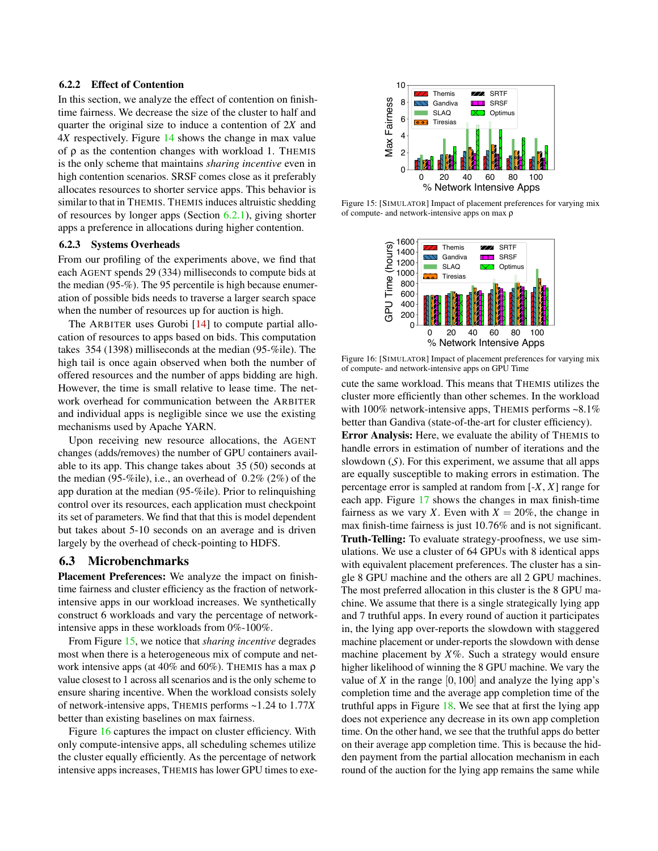#### 6.2.2 Effect of Contention

In this section, we analyze the effect of contention on finishtime fairness. We decrease the size of the cluster to half and quarter the original size to induce a contention of 2*X* and 4*X* respectively. Figure 14 shows the change in max value of  $\rho$  as the contention changes with workload 1. THEMIS is the only scheme that maintains *sharing incentive* even in high contention scenarios. SRSF comes close as it preferably allocates resources to shorter service apps. This behavior is similar to that in THEMIS. THEMIS induces altruistic shedding of resources by longer apps (Section 6.2.1), giving shorter apps a preference in allocations during higher contention.

#### 6.2.3 Systems Overheads

From our profiling of the experiments above, we find that each AGENT spends 29 (334) milliseconds to compute bids at the median (95-%). The 95 percentile is high because enumeration of possible bids needs to traverse a larger search space when the number of resources up for auction is high.

The ARBITER uses Gurobi [14] to compute partial allocation of resources to apps based on bids. This computation takes 354 (1398) milliseconds at the median (95-%ile). The high tail is once again observed when both the number of offered resources and the number of apps bidding are high. However, the time is small relative to lease time. The network overhead for communication between the ARBITER and individual apps is negligible since we use the existing mechanisms used by Apache YARN.

Upon receiving new resource allocations, the AGENT changes (adds/removes) the number of GPU containers available to its app. This change takes about 35 (50) seconds at the median (95-%ile), i.e., an overhead of 0*.*2% (2%) of the app duration at the median (95-%ile). Prior to relinquishing control over its resources, each application must checkpoint its set of parameters. We find that that this is model dependent but takes about 5-10 seconds on an average and is driven largely by the overhead of check-pointing to HDFS.

## 6.3 Microbenchmarks

Placement Preferences: We analyze the impact on finishtime fairness and cluster efficiency as the fraction of networkintensive apps in our workload increases. We synthetically construct 6 workloads and vary the percentage of networkintensive apps in these workloads from 0%-100%.

From Figure 15, we notice that *sharing incentive* degrades most when there is a heterogeneous mix of compute and network intensive apps (at  $40\%$  and  $60\%$ ). THEMIS has a max  $\rho$ value closest to 1 across all scenarios and is the only scheme to ensure sharing incentive. When the workload consists solely of network-intensive apps, THEMIS performs ~1*.*24 to 1*.*77*X* better than existing baselines on max fairness.

Figure 16 captures the impact on cluster efficiency. With only compute-intensive apps, all scheduling schemes utilize the cluster equally efficiently. As the percentage of network intensive apps increases, THEMIS has lower GPU times to exe-



Figure 15: [SIMULATOR] Impact of placement preferences for varying mix of compute- and network-intensive apps on max  $\rho$ 



Figure 16: [SIMULATOR] Impact of placement preferences for varying mix of compute- and network-intensive apps on GPU Time

cute the same workload. This means that THEMIS utilizes the cluster more efficiently than other schemes. In the workload with 100% network-intensive apps, THEMIS performs ~8.1% better than Gandiva (state-of-the-art for cluster efficiency).

Error Analysis: Here, we evaluate the ability of THEMIS to handle errors in estimation of number of iterations and the slowdown  $(S)$ . For this experiment, we assume that all apps are equally susceptible to making errors in estimation. The percentage error is sampled at random from [-*X*, *X*] range for each app. Figure 17 shows the changes in max finish-time fairness as we vary *X*. Even with  $X = 20\%$ , the change in max finish-time fairness is just 10*.*76% and is not significant. Truth-Telling: To evaluate strategy-proofness, we use simulations. We use a cluster of 64 GPUs with 8 identical apps with equivalent placement preferences. The cluster has a single 8 GPU machine and the others are all 2 GPU machines. The most preferred allocation in this cluster is the 8 GPU machine. We assume that there is a single strategically lying app and 7 truthful apps. In every round of auction it participates in, the lying app over-reports the slowdown with staggered machine placement or under-reports the slowdown with dense machine placement by *X*%. Such a strategy would ensure higher likelihood of winning the 8 GPU machine. We vary the value of  $X$  in the range  $[0,100]$  and analyze the lying app's completion time and the average app completion time of the truthful apps in Figure 18. We see that at first the lying app does not experience any decrease in its own app completion time. On the other hand, we see that the truthful apps do better on their average app completion time. This is because the hidden payment from the partial allocation mechanism in each round of the auction for the lying app remains the same while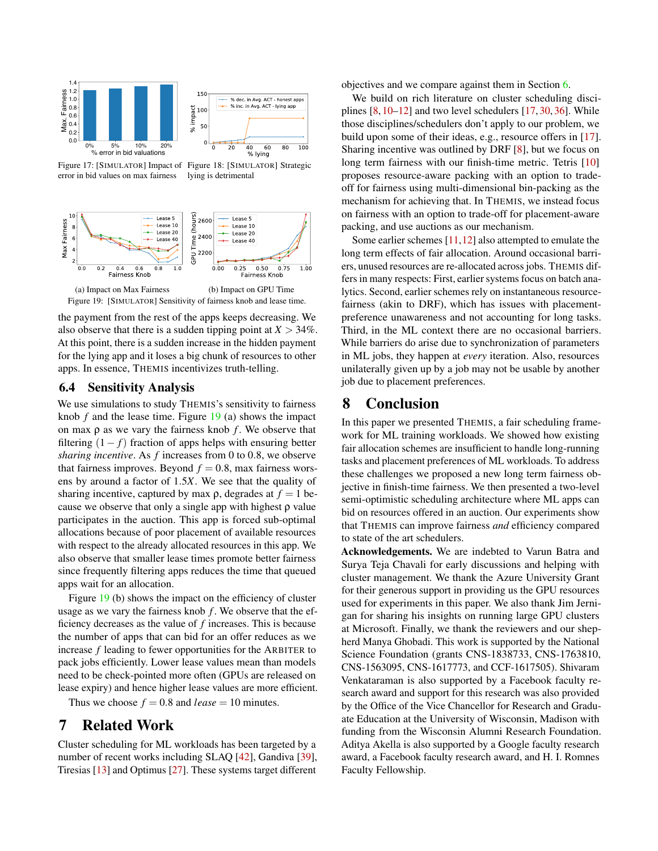





the payment from the rest of the apps keeps decreasing. We also observe that there is a sudden tipping point at  $X > 34\%$ . At this point, there is a sudden increase in the hidden payment for the lying app and it loses a big chunk of resources to other apps. In essence, THEMIS incentivizes truth-telling.

### 6.4 Sensitivity Analysis

We use simulations to study THEMIS's sensitivity to fairness knob *f* and the lease time. Figure 19 (a) shows the impact on max  $\rho$  as we vary the fairness knob  $f$ . We observe that filtering  $(1 - f)$  fraction of apps helps with ensuring better *sharing incentive*. As *f* increases from 0 to 0*.*8, we observe that fairness improves. Beyond  $f = 0.8$ , max fairness worsens by around a factor of 1*.*5*X*. We see that the quality of sharing incentive, captured by max  $\rho$ , degrades at  $f = 1$  because we observe that only a single app with highest  $\rho$  value participates in the auction. This app is forced sub-optimal allocations because of poor placement of available resources with respect to the already allocated resources in this app. We also observe that smaller lease times promote better fairness since frequently filtering apps reduces the time that queued apps wait for an allocation.

Figure 19 (b) shows the impact on the efficiency of cluster usage as we vary the fairness knob *f* . We observe that the efficiency decreases as the value of *f* increases. This is because the number of apps that can bid for an offer reduces as we increase *f* leading to fewer opportunities for the ARBITER to pack jobs efficiently. Lower lease values mean than models need to be check-pointed more often (GPUs are released on lease expiry) and hence higher lease values are more efficient.

Thus we choose  $f = 0.8$  and *lease* = 10 minutes.

# 7 Related Work

Cluster scheduling for ML workloads has been targeted by a number of recent works including SLAQ [42], Gandiva [39], Tiresias [13] and Optimus [27]. These systems target different

objectives and we compare against them in Section 6.

We build on rich literature on cluster scheduling disciplines [8, 10–12] and two level schedulers [17, 30, 36]. While those disciplines/schedulers don't apply to our problem, we build upon some of their ideas, e.g., resource offers in [17]. Sharing incentive was outlined by DRF [8], but we focus on long term fairness with our finish-time metric. Tetris [10] proposes resource-aware packing with an option to tradeoff for fairness using multi-dimensional bin-packing as the mechanism for achieving that. In THEMIS, we instead focus on fairness with an option to trade-off for placement-aware packing, and use auctions as our mechanism.

Some earlier schemes [11,12] also attempted to emulate the long term effects of fair allocation. Around occasional barriers, unused resources are re-allocated across jobs. THEMIS differs in many respects: First, earlier systems focus on batch analytics. Second, earlier schemes rely on instantaneous resourcefairness (akin to DRF), which has issues with placementpreference unawareness and not accounting for long tasks. Third, in the ML context there are no occasional barriers. While barriers do arise due to synchronization of parameters in ML jobs, they happen at *every* iteration. Also, resources unilaterally given up by a job may not be usable by another job due to placement preferences.

# 8 Conclusion

In this paper we presented THEMIS, a fair scheduling framework for ML training workloads. We showed how existing fair allocation schemes are insufficient to handle long-running tasks and placement preferences of ML workloads. To address these challenges we proposed a new long term fairness objective in finish-time fairness. We then presented a two-level semi-optimistic scheduling architecture where ML apps can bid on resources offered in an auction. Our experiments show that THEMIS can improve fairness *and* efficiency compared to state of the art schedulers.

Acknowledgements. We are indebted to Varun Batra and Surya Teja Chavali for early discussions and helping with cluster management. We thank the Azure University Grant for their generous support in providing us the GPU resources used for experiments in this paper. We also thank Jim Jernigan for sharing his insights on running large GPU clusters at Microsoft. Finally, we thank the reviewers and our shepherd Manya Ghobadi. This work is supported by the National Science Foundation (grants CNS-1838733, CNS-1763810, CNS-1563095, CNS-1617773, and CCF-1617505). Shivaram Venkataraman is also supported by a Facebook faculty research award and support for this research was also provided by the Office of the Vice Chancellor for Research and Graduate Education at the University of Wisconsin, Madison with funding from the Wisconsin Alumni Research Foundation. Aditya Akella is also supported by a Google faculty research award, a Facebook faculty research award, and H. I. Romnes Faculty Fellowship.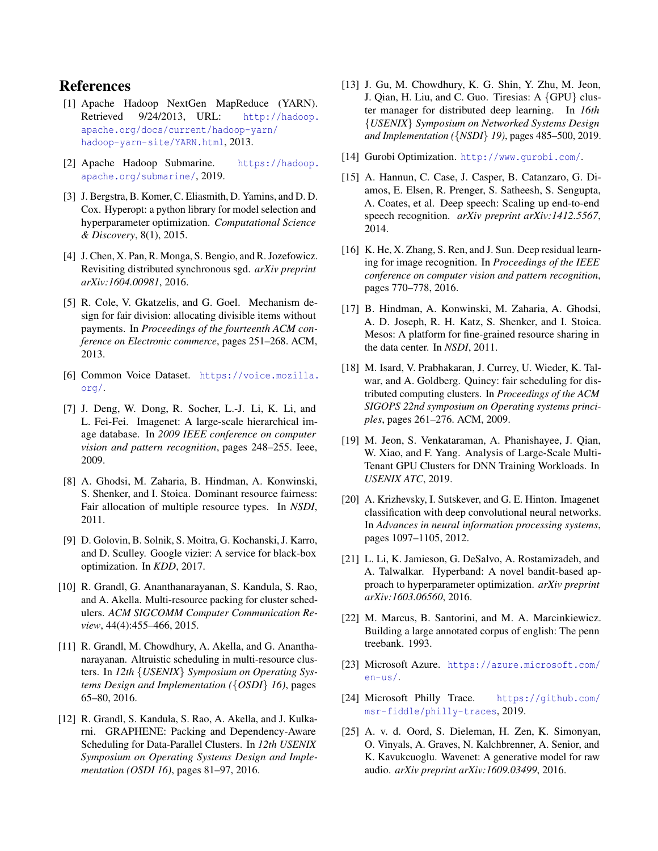# References

- [1] Apache Hadoop NextGen MapReduce (YARN). Retrieved 9/24/2013, URL: http://hadoop. apache.org/docs/current/hadoop-yarn/ hadoop-yarn-site/YARN.html, 2013.
- [2] Apache Hadoop Submarine. https://hadoop. apache.org/submarine/, 2019.
- [3] J. Bergstra, B. Komer, C. Eliasmith, D. Yamins, and D. D. Cox. Hyperopt: a python library for model selection and hyperparameter optimization. *Computational Science & Discovery*, 8(1), 2015.
- [4] J. Chen, X. Pan, R. Monga, S. Bengio, and R. Jozefowicz. Revisiting distributed synchronous sgd. *arXiv preprint arXiv:1604.00981*, 2016.
- [5] R. Cole, V. Gkatzelis, and G. Goel. Mechanism design for fair division: allocating divisible items without payments. In *Proceedings of the fourteenth ACM conference on Electronic commerce*, pages 251–268. ACM, 2013.
- [6] Common Voice Dataset. https://voice.mozilla. org/.
- [7] J. Deng, W. Dong, R. Socher, L.-J. Li, K. Li, and L. Fei-Fei. Imagenet: A large-scale hierarchical image database. In *2009 IEEE conference on computer vision and pattern recognition*, pages 248–255. Ieee, 2009.
- [8] A. Ghodsi, M. Zaharia, B. Hindman, A. Konwinski, S. Shenker, and I. Stoica. Dominant resource fairness: Fair allocation of multiple resource types. In *NSDI*, 2011.
- [9] D. Golovin, B. Solnik, S. Moitra, G. Kochanski, J. Karro, and D. Sculley. Google vizier: A service for black-box optimization. In *KDD*, 2017.
- [10] R. Grandl, G. Ananthanarayanan, S. Kandula, S. Rao, and A. Akella. Multi-resource packing for cluster schedulers. *ACM SIGCOMM Computer Communication Review*, 44(4):455–466, 2015.
- [11] R. Grandl, M. Chowdhury, A. Akella, and G. Ananthanarayanan. Altruistic scheduling in multi-resource clusters. In *12th {USENIX} Symposium on Operating Systems Design and Implementation ({OSDI} 16)*, pages 65–80, 2016.
- [12] R. Grandl, S. Kandula, S. Rao, A. Akella, and J. Kulkarni. GRAPHENE: Packing and Dependency-Aware Scheduling for Data-Parallel Clusters. In *12th USENIX Symposium on Operating Systems Design and Implementation (OSDI 16)*, pages 81–97, 2016.
- [13] J. Gu, M. Chowdhury, K. G. Shin, Y. Zhu, M. Jeon, J. Qian, H. Liu, and C. Guo. Tiresias: A *{*GPU*}* cluster manager for distributed deep learning. In *16th {USENIX} Symposium on Networked Systems Design and Implementation ({NSDI} 19)*, pages 485–500, 2019.
- [14] Gurobi Optimization. http://www.gurobi.com/.
- [15] A. Hannun, C. Case, J. Casper, B. Catanzaro, G. Diamos, E. Elsen, R. Prenger, S. Satheesh, S. Sengupta, A. Coates, et al. Deep speech: Scaling up end-to-end speech recognition. *arXiv preprint arXiv:1412.5567*, 2014.
- [16] K. He, X. Zhang, S. Ren, and J. Sun. Deep residual learning for image recognition. In *Proceedings of the IEEE conference on computer vision and pattern recognition*, pages 770–778, 2016.
- [17] B. Hindman, A. Konwinski, M. Zaharia, A. Ghodsi, A. D. Joseph, R. H. Katz, S. Shenker, and I. Stoica. Mesos: A platform for fine-grained resource sharing in the data center. In *NSDI*, 2011.
- [18] M. Isard, V. Prabhakaran, J. Currey, U. Wieder, K. Talwar, and A. Goldberg. Quincy: fair scheduling for distributed computing clusters. In *Proceedings of the ACM SIGOPS 22nd symposium on Operating systems principles*, pages 261–276. ACM, 2009.
- [19] M. Jeon, S. Venkataraman, A. Phanishayee, J. Qian, W. Xiao, and F. Yang. Analysis of Large-Scale Multi-Tenant GPU Clusters for DNN Training Workloads. In *USENIX ATC*, 2019.
- [20] A. Krizhevsky, I. Sutskever, and G. E. Hinton. Imagenet classification with deep convolutional neural networks. In *Advances in neural information processing systems*, pages 1097–1105, 2012.
- [21] L. Li, K. Jamieson, G. DeSalvo, A. Rostamizadeh, and A. Talwalkar. Hyperband: A novel bandit-based approach to hyperparameter optimization. *arXiv preprint arXiv:1603.06560*, 2016.
- [22] M. Marcus, B. Santorini, and M. A. Marcinkiewicz. Building a large annotated corpus of english: The penn treebank. 1993.
- [23] Microsoft Azure. https://azure.microsoft.com/ en-us/.
- [24] Microsoft Philly Trace. https://github.com/ msr-fiddle/philly-traces, 2019.
- [25] A. v. d. Oord, S. Dieleman, H. Zen, K. Simonyan, O. Vinyals, A. Graves, N. Kalchbrenner, A. Senior, and K. Kavukcuoglu. Wavenet: A generative model for raw audio. *arXiv preprint arXiv:1609.03499*, 2016.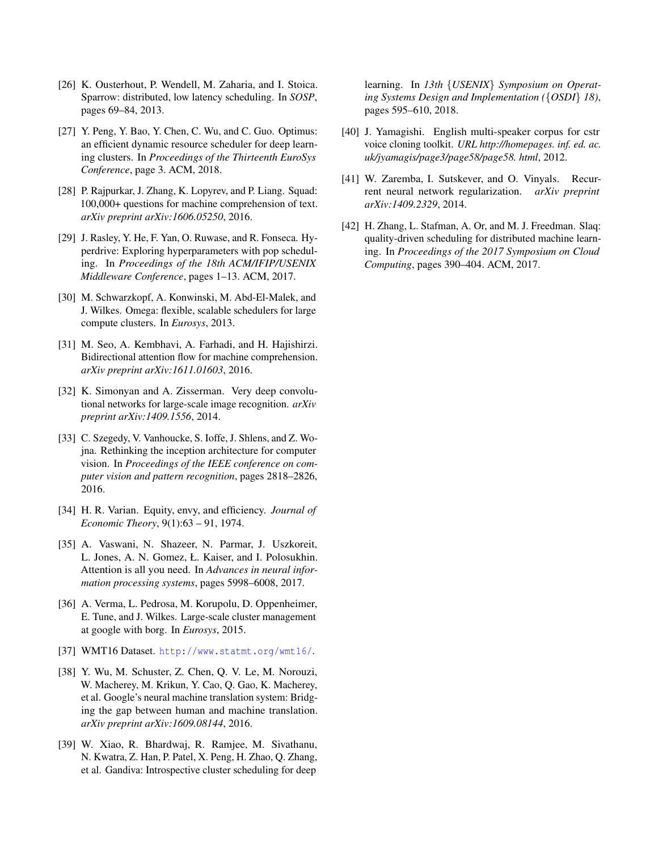- [26] K. Ousterhout, P. Wendell, M. Zaharia, and I. Stoica. Sparrow: distributed, low latency scheduling. In *SOSP*, pages 69–84, 2013.
- [27] Y. Peng, Y. Bao, Y. Chen, C. Wu, and C. Guo. Optimus: an efficient dynamic resource scheduler for deep learning clusters. In *Proceedings of the Thirteenth EuroSys Conference*, page 3. ACM, 2018.
- [28] P. Rajpurkar, J. Zhang, K. Lopyrev, and P. Liang. Squad: 100,000+ questions for machine comprehension of text. *arXiv preprint arXiv:1606.05250*, 2016.
- [29] J. Rasley, Y. He, F. Yan, O. Ruwase, and R. Fonseca. Hyperdrive: Exploring hyperparameters with pop scheduling. In *Proceedings of the 18th ACM/IFIP/USENIX Middleware Conference*, pages 1–13. ACM, 2017.
- [30] M. Schwarzkopf, A. Konwinski, M. Abd-El-Malek, and J. Wilkes. Omega: flexible, scalable schedulers for large compute clusters. In *Eurosys*, 2013.
- [31] M. Seo, A. Kembhavi, A. Farhadi, and H. Hajishirzi. Bidirectional attention flow for machine comprehension. *arXiv preprint arXiv:1611.01603*, 2016.
- [32] K. Simonyan and A. Zisserman. Very deep convolutional networks for large-scale image recognition. *arXiv preprint arXiv:1409.1556*, 2014.
- [33] C. Szegedy, V. Vanhoucke, S. Ioffe, J. Shlens, and Z. Wojna. Rethinking the inception architecture for computer vision. In *Proceedings of the IEEE conference on computer vision and pattern recognition*, pages 2818–2826, 2016.
- [34] H. R. Varian. Equity, envy, and efficiency. *Journal of Economic Theory*, 9(1):63 – 91, 1974.
- [35] A. Vaswani, N. Shazeer, N. Parmar, J. Uszkoreit, L. Jones, A. N. Gomez, Ł. Kaiser, and I. Polosukhin. Attention is all you need. In *Advances in neural information processing systems*, pages 5998–6008, 2017.
- [36] A. Verma, L. Pedrosa, M. Korupolu, D. Oppenheimer, E. Tune, and J. Wilkes. Large-scale cluster management at google with borg. In *Eurosys*, 2015.
- [37] WMT16 Dataset. http://www.statmt.org/wmt16/.
- [38] Y. Wu, M. Schuster, Z. Chen, Q. V. Le, M. Norouzi, W. Macherey, M. Krikun, Y. Cao, Q. Gao, K. Macherey, et al. Google's neural machine translation system: Bridging the gap between human and machine translation. *arXiv preprint arXiv:1609.08144*, 2016.
- [39] W. Xiao, R. Bhardwaj, R. Ramjee, M. Sivathanu, N. Kwatra, Z. Han, P. Patel, X. Peng, H. Zhao, Q. Zhang, et al. Gandiva: Introspective cluster scheduling for deep

learning. In *13th {USENIX} Symposium on Operating Systems Design and Implementation ({OSDI} 18)*, pages 595–610, 2018.

- [40] J. Yamagishi. English multi-speaker corpus for cstr voice cloning toolkit. *URL http://homepages. inf. ed. ac. uk/jyamagis/page3/page58/page58. html*, 2012.
- [41] W. Zaremba, I. Sutskever, and O. Vinyals. Recurrent neural network regularization. *arXiv preprint arXiv:1409.2329*, 2014.
- [42] H. Zhang, L. Stafman, A. Or, and M. J. Freedman. Slaq: quality-driven scheduling for distributed machine learning. In *Proceedings of the 2017 Symposium on Cloud Computing*, pages 390–404. ACM, 2017.